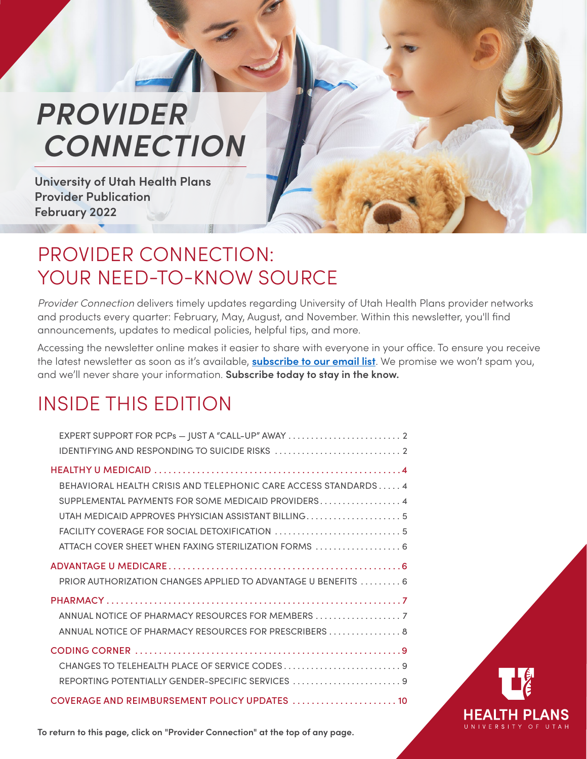# <span id="page-0-0"></span>*PROVIDER  [CONNECTION](#page-9-0)*

**University of Utah Health Plans Provider Publication February 2022**

### PROVIDER CONNECTION: YOUR NEED-TO-KNOW SOURCE

*Provider Connection* delivers timely updates regarding University of Utah Health Plans provider networks and products every quarter: February, May, August, and November. Within this newsletter, you'll find announcements, updates to medical policies, helpful tips, and more.

Accessing the newsletter online makes it easier to share with everyone in your office. To ensure you receive the latest newsletter as soon as it's available, **[subscribe to our email list](https://uhealthplan.utah.edu/providers/documents.php)**. We promise we won't spam you, and we'll never share your information. **Subscribe today to stay in the know.**

## INSIDE THIS EDITION

| EXPERT SUPPORT FOR PCPs - JUST A "CALL-UP" AWAY                                                                                                                                                                                       |  |
|---------------------------------------------------------------------------------------------------------------------------------------------------------------------------------------------------------------------------------------|--|
| BEHAVIORAL HEALTH CRISIS AND TELEPHONIC CARE ACCESS STANDARDS4<br>SUPPLEMENTAL PAYMENTS FOR SOME MEDICAID PROVIDERS 4<br>UTAH MEDICAID APPROVES PHYSICIAN ASSISTANT BILLING5<br>ATTACH COVER SHEET WHEN FAXING STERILIZATION FORMS  6 |  |
| PRIOR AUTHORIZATION CHANGES APPLIED TO ADVANTAGE U BENEFITS  6                                                                                                                                                                        |  |
| ANNUAL NOTICE OF PHARMACY RESOURCES FOR MEMBERS<br>ANNUAL NOTICE OF PHARMACY RESOURCES FOR PRESCRIBERS  8                                                                                                                             |  |
| REPORTING POTENTIALLY GENDER-SPECIFIC SERVICES  9                                                                                                                                                                                     |  |
| COVERAGE AND REIMBURSEMENT POLICY UPDATES  10                                                                                                                                                                                         |  |



**To return to this page, click on "Provider Connection" at the top of any page.**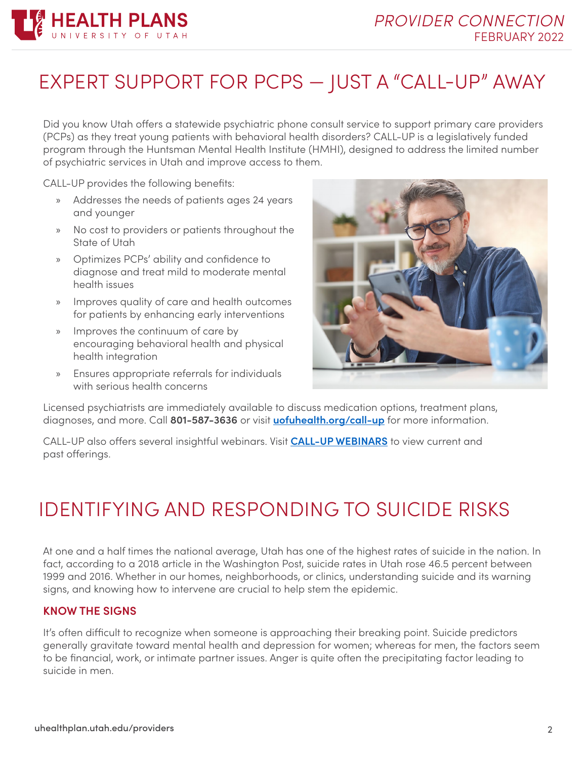

## EXPERT SUPPORT FOR PCPS — JUST A "CALL-UP" AWAY

Did you know Utah offers a statewide psychiatric phone consult service to support primary care providers (PCPs) as they treat young patients with behavioral health disorders? CALL-UP is a legislatively funded program through the Huntsman Mental Health Institute (HMHI), designed to address the limited number of psychiatric services in Utah and improve access to them.

CALL-UP provides the following benefits:

- » Addresses the needs of patients ages 24 years and younger
- » No cost to providers or patients throughout the State of Utah
- » Optimizes PCPs' ability and confidence to diagnose and treat mild to moderate mental health issues
- » Improves quality of care and health outcomes for patients by enhancing early interventions
- » Improves the continuum of care by encouraging behavioral health and physical health integration
- » Ensures appropriate referrals for individuals with serious health concerns



Licensed psychiatrists are immediately available to discuss medication options, treatment plans, diagnoses, and more. Call **801-587-3636** or visit **[uofuhealth.org/call-up](https://healthcare.utah.edu/hmhi/programs/call-up.php?utm_source=vanity)** for more information.

CALL-UP also offers several insightful webinars. Visit **[CALL-UP WEBINARS](https://healthcare.utah.edu/hmhi/programs/call-up.php#callupwebinars)** to view current and past offerings.

### <span id="page-1-0"></span>IDENTIFYING AND RESPONDING TO SUICIDE RISKS

At one and a half times the national average, Utah has one of the highest rates of suicide in the nation. In fact, according to a 2018 article in the Washington Post, suicide rates in Utah rose 46.5 percent between 1999 and 2016. Whether in our homes, neighborhoods, or clinics, understanding suicide and its warning signs, and knowing how to intervene are crucial to help stem the epidemic.

#### **KNOW THE SIGNS**

It's often difficult to recognize when someone is approaching their breaking point. Suicide predictors generally gravitate toward mental health and depression for women; whereas for men, the factors seem to be financial, work, or intimate partner issues. Anger is quite often the precipitating factor leading to suicide in men.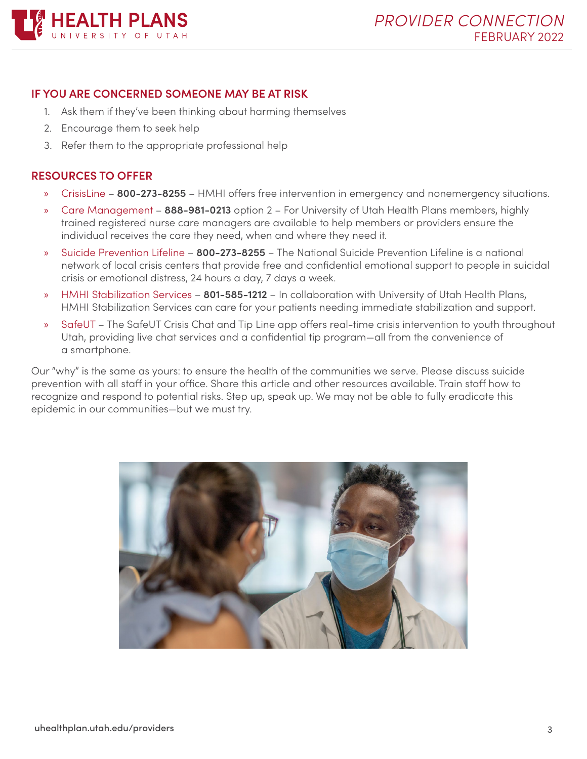

#### **IF YOU ARE CONCERNED SOMEONE MAY BE AT RISK**

- 1. Ask them if they've been thinking about harming themselves
- 2. Encourage them to seek help
- 3. Refer them to the appropriate professional help

#### **RESOURCES TO OFFER**

- » CrisisLine **800-273-8255** HMHI offers free intervention in emergency and nonemergency situations.
- » Care Management **888-981-0213** option 2 For University of Utah Health Plans members, highly trained registered nurse care managers are available to help members or providers ensure the individual receives the care they need, when and where they need it.
- » Suicide Prevention Lifeline **800-273-8255** The National Suicide Prevention Lifeline is a national network of local crisis centers that provide free and confidential emotional support to people in suicidal crisis or emotional distress, 24 hours a day, 7 days a week.
- » HMHI Stabilization Services **801-585-1212** In collaboration with University of Utah Health Plans, HMHI Stabilization Services can care for your patients needing immediate stabilization and support.
- » SafeUT The SafeUT Crisis Chat and Tip Line app offers real-time crisis intervention to youth throughout Utah, providing live chat services and a confidential tip program—all from the convenience of a smartphone.

Our "why" is the same as yours: to ensure the health of the communities we serve. Please discuss suicide prevention with all staff in your office. Share this article and other resources available. Train staff how to recognize and respond to potential risks. Step up, speak up. We may not be able to fully eradicate this epidemic in our communities—but we must try.

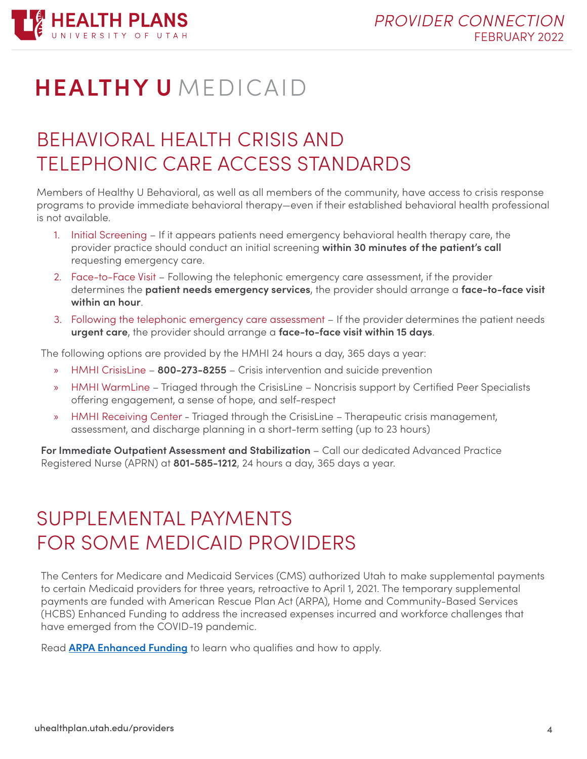

## **HEALTHY U** MEDICAID

## <span id="page-3-0"></span>BEHAVIORAL HEALTH CRISIS AND TELEPHONIC CARE ACCESS STANDARDS

Members of Healthy U Behavioral, as well as all members of the community, have access to crisis response programs to provide immediate behavioral therapy—even if their established behavioral health professional is not available.

- 1. Initial Screening If it appears patients need emergency behavioral health therapy care, the provider practice should conduct an initial screening **within 30 minutes of the patient's call** requesting emergency care.
- 2. Face-to-Face Visit Following the telephonic emergency care assessment, if the provider determines the **patient needs emergency services**, the provider should arrange a **face-to-face visit within an hour**.
- 3. Following the telephonic emergency care assessment If the provider determines the patient needs **urgent care**, the provider should arrange a **face-to-face visit within 15 days**.

The following options are provided by the HMHI 24 hours a day, 365 days a year:

- » HMHI CrisisLine **800-273-8255** Crisis intervention and suicide prevention
- » HMHI WarmLine Triaged through the CrisisLine Noncrisis support by Certified Peer Specialists offering engagement, a sense of hope, and self-respect
- » HMHI Receiving Center Triaged through the CrisisLine Therapeutic crisis management, assessment, and discharge planning in a short-term setting (up to 23 hours)

**For Immediate Outpatient Assessment and Stabilization** – Call our dedicated Advanced Practice Registered Nurse (APRN) at **801-585-1212**, 24 hours a day, 365 days a year.

## <span id="page-3-1"></span>SUPPLEMENTAL PAYMENTS FOR SOME MEDICAID PROVIDERS

The Centers for Medicare and Medicaid Services (CMS) authorized Utah to make supplemental payments to certain Medicaid providers for three years, retroactive to April 1, 2021. The temporary supplemental payments are funded with American Rescue Plan Act (ARPA), Home and Community-Based Services (HCBS) Enhanced Funding to address the increased expenses incurred and workforce challenges that have emerged from the COVID-19 pandemic.

Read **[ARPA Enhanced Funding](https://medicaid.utah.gov/arpa/)** to learn who qualifies and how to apply.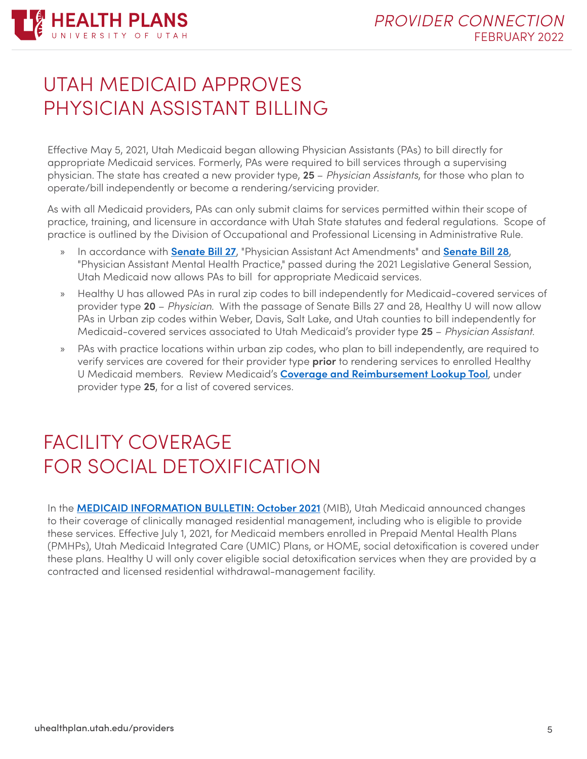

### <span id="page-4-0"></span>UTAH MEDICAID APPROVES PHYSICIAN ASSISTANT BILLING

Effective May 5, 2021, Utah Medicaid began allowing Physician Assistants (PAs) to bill directly for appropriate Medicaid services. Formerly, PAs were required to bill services through a supervising physician. The state has created a new provider type, **25** – *Physician Assistants*, for those who plan to operate/bill independently or become a rendering/servicing provider.

As with all Medicaid providers, PAs can only submit claims for services permitted within their scope of practice, training, and licensure in accordance with Utah State statutes and federal regulations. Scope of practice is outlined by the Division of Occupational and Professional Licensing in Administrative Rule.

- » In accordance with **[Senate Bill 27](https://le.utah.gov/~2021/bills/static/SB0027.html)**, "Physician Assistant Act Amendments" and **[Senate Bill 28](https://le.utah.gov/~2021/bills/static/SB0028.html)**, "Physician Assistant Mental Health Practice," passed during the 2021 Legislative General Session, Utah Medicaid now allows PAs to bill for appropriate Medicaid services.
- » Healthy U has allowed PAs in rural zip codes to bill independently for Medicaid-covered services of provider type **20** – *Physician*. With the passage of Senate Bills 27 and 28, Healthy U will now allow PAs in Urban zip codes within Weber, Davis, Salt Lake, and Utah counties to bill independently for Medicaid-covered services associated to Utah Medicaid's provider type **25** – *Physician Assistant*.
- » PAs with practice locations within urban zip codes, who plan to bill independently, are required to verify services are covered for their provider type **prior** to rendering services to enrolled Healthy U Medicaid members. Review Medicaid's **[Coverage and Reimbursement Lookup Tool](https://health.utah.gov/stplan/lookup/CoverageLookup.php)**, under provider type **25**, for a list of covered services.

## <span id="page-4-1"></span>FACILITY COVERAGE FOR SOCIAL DETOXIFICATION

In the **[MEDICAID INFORMATION BULLETIN: October 2021](https://medicaid.utah.gov/Documents/manuals/pdfs/Medicaid Information Bulletins/Traditional Medicaid Program/2021/October2021-MIB.pdf)** (MIB), Utah Medicaid announced changes to their coverage of clinically managed residential management, including who is eligible to provide these services. Effective July 1, 2021, for Medicaid members enrolled in Prepaid Mental Health Plans (PMHPs), Utah Medicaid Integrated Care (UMIC) Plans, or HOME, social detoxification is covered under these plans. Healthy U will only cover eligible social detoxification services when they are provided by a contracted and licensed residential withdrawal-management facility.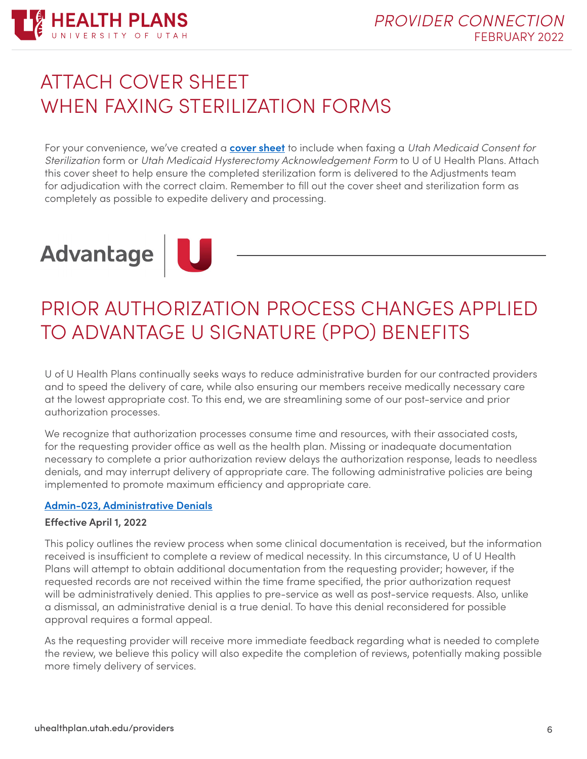

## <span id="page-5-0"></span>ATTACH COVER SHEET WHEN FAXING STERILIZATION FORMS

For your convenience, we've created a **[cover sheet](https://uhealthplan.utah.edu/providers/pdf/hu_sterilization_hysterectomy_form_cover_sheet.pdf)** to include when faxing a *Utah Medicaid Consent for Sterilization* form or *Utah Medicaid Hysterectomy Acknowledgement Form* to U of U Health Plans. Attach this cover sheet to help ensure the completed sterilization form is delivered to the Adjustments team for adjudication with the correct claim. Remember to fill out the cover sheet and sterilization form as completely as possible to expedite delivery and processing.

# Advantage

## <span id="page-5-1"></span>PRIOR AUTHORIZATION PROCESS CHANGES APPLIED TO ADVANTAGE U SIGNATURE (PPO) BENEFITS

U of U Health Plans continually seeks ways to reduce administrative burden for our contracted providers and to speed the delivery of care, while also ensuring our members receive medically necessary care at the lowest appropriate cost. To this end, we are streamlining some of our post-service and prior authorization processes.

We recognize that authorization processes consume time and resources, with their associated costs, for the requesting provider office as well as the health plan. Missing or inadequate documentation necessary to complete a prior authorization review delays the authorization response, leads to needless denials, and may interrupt delivery of appropriate care. The following administrative policies are being implemented to promote maximum efficiency and appropriate care.

#### **[Admin-023, Administrative Denials](https://uhealthplan.utah.edu/medicalpolicy/pdf/admin-023.pdf)**

#### **Effective April 1, 2022**

This policy outlines the review process when some clinical documentation is received, but the information received is insufficient to complete a review of medical necessity. In this circumstance, U of U Health Plans will attempt to obtain additional documentation from the requesting provider; however, if the requested records are not received within the time frame specified, the prior authorization request will be administratively denied. This applies to pre-service as well as post-service requests. Also, unlike a dismissal, an administrative denial is a true denial. To have this denial reconsidered for possible approval requires a formal appeal.

As the requesting provider will receive more immediate feedback regarding what is needed to complete the review, we believe this policy will also expedite the completion of reviews, potentially making possible more timely delivery of services.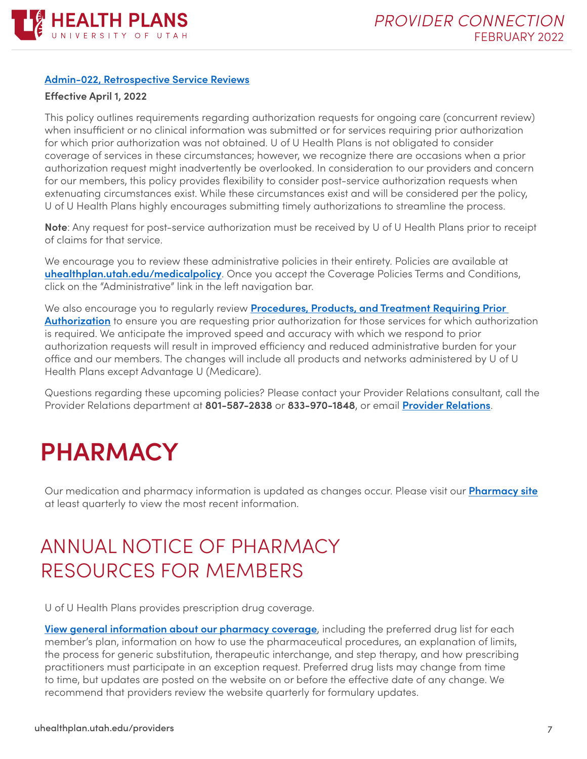

#### **[Admin-022, Retrospective Service Reviews](https://uhealthplan.utah.edu/medicalpolicy/pdf/admin-022.pdf)**

#### **Effective April 1, 2022**

This policy outlines requirements regarding authorization requests for ongoing care (concurrent review) when insufficient or no clinical information was submitted or for services requiring prior authorization for which prior authorization was not obtained. U of U Health Plans is not obligated to consider coverage of services in these circumstances; however, we recognize there are occasions when a prior authorization request might inadvertently be overlooked. In consideration to our providers and concern for our members, this policy provides flexibility to consider post-service authorization requests when extenuating circumstances exist. While these circumstances exist and will be considered per the policy, U of U Health Plans highly encourages submitting timely authorizations to streamline the process.

**Note**: Any request for post-service authorization must be received by U of U Health Plans prior to receipt of claims for that service.

We encourage you to review these administrative policies in their entirety. Policies are available at **[uhealthplan.utah.edu/medicalpolicy](https://uhealthplan.utah.edu/medicalpolicy/pdf/admin-022.pdf)**. Once you accept the Coverage Policies Terms and Conditions, click on the "Administrative" link in the left navigation bar.

We also encourage you to regularly review **[Procedures, Products, and Treatment Requiring Prior](https://uhealthplan.utah.edu/providers/policy-forms.php#section1)  [Authorization](https://uhealthplan.utah.edu/providers/policy-forms.php#section1)** to ensure you are requesting prior authorization for those services for which authorization is required. We anticipate the improved speed and accuracy with which we respond to prior authorization requests will result in improved efficiency and reduced administrative burden for your office and our members. The changes will include all products and networks administered by U of U Health Plans except Advantage U (Medicare).

Questions regarding these upcoming policies? Please contact your Provider Relations consultant, call the Provider Relations department at **801-587-2838** or **833-970-1848**, or email **[Provider Relations](mailto:provider.relations@hsc.utah.edu)**.

## <span id="page-6-0"></span>**PHARMACY**

Our medication and pharmacy information is updated as changes occur. Please visit our **[Pharmacy site](https://uhealthplan.utah.edu/pharmacy/)** at least quarterly to view the most recent information.

## <span id="page-6-1"></span>ANNUAL NOTICE OF PHARMACY RESOURCES FOR MEMBERS

U of U Health Plans provides prescription drug coverage.

**[View general information about our pharmacy coverage](https://uhealthplan.utah.edu/pharmacy/)**, including the preferred drug list for each member's plan, information on how to use the pharmaceutical procedures, an explanation of limits, the process for generic substitution, therapeutic interchange, and step therapy, and how prescribing practitioners must participate in an exception request. Preferred drug lists may change from time to time, but updates are posted on the website on or before the effective date of any change. We recommend that providers review the website quarterly for formulary updates.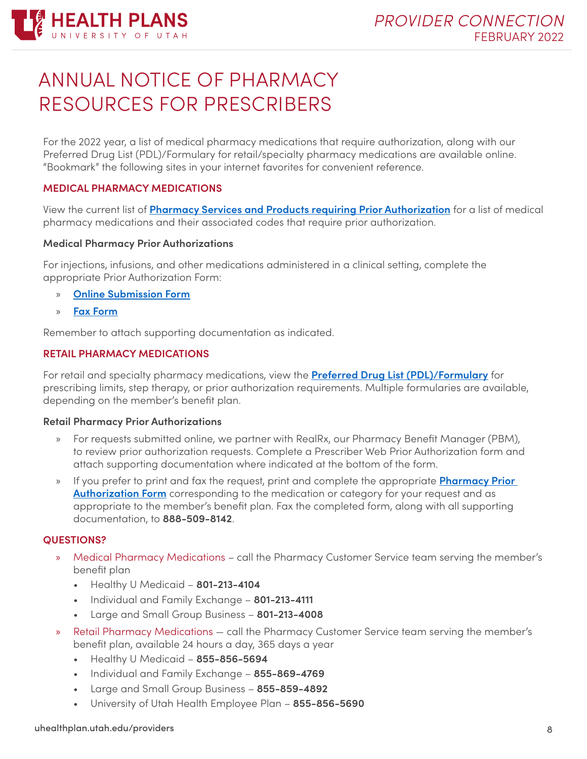

## <span id="page-7-0"></span>ANNUAL NOTICE OF PHARMACY RESOURCES FOR PRESCRIBERS

For the 2022 year, a list of medical pharmacy medications that require authorization, along with our Preferred Drug List (PDL)/Formulary for retail/specialty pharmacy medications are available online. "Bookmark" the following sites in your internet favorites for convenient reference.

#### **MEDICAL PHARMACY MEDICATIONS**

View the current list of **[Pharmacy Services and Products requiring Prior Authorization](https://uhealthplan.utah.edu/for-providers/prior-authorization.php)** for a list of medical pharmacy medications and their associated codes that require prior authorization.

#### **Medical Pharmacy Prior Authorizations**

For injections, infusions, and other medications administered in a clinical setting, complete the appropriate Prior Authorization Form:

- » **[Online Submission Form](https://apps.uhealthplan.utah.edu/UHealthPlansForms/Authorization/Create)**
- » **[Fax Form](https://uhealthplan.utah.edu/for-providers/pdf/2019_march_um-request_04112019.pdf)**

Remember to attach supporting documentation as indicated.

#### **RETAIL PHARMACY MEDICATIONS**

For retail and specialty pharmacy medications, view the **[Preferred Drug List \(PDL\)/Formulary](https://uhealthplan.utah.edu/pharmacy/)** for prescribing limits, step therapy, or prior authorization requirements. Multiple formularies are available, depending on the member's benefit plan.

#### **Retail Pharmacy Prior Authorizations**

- » For requests submitted online, we partner with RealRx, our Pharmacy Benefit Manager (PBM), to review prior authorization requests. Complete a Prescriber Web Prior Authorization form and attach supporting documentation where indicated at the bottom of the form.
- » If you prefer to print and fax the request, print and complete the appropriate **[Pharmacy Prior](https://uhealthplan.utah.edu/medicalpolicy/pharmacy-filtered.php)  [Authorization Form](https://uhealthplan.utah.edu/medicalpolicy/pharmacy-filtered.php)** corresponding to the medication or category for your request and as appropriate to the member's benefit plan. Fax the completed form, along with all supporting documentation, to **888-509-8142**.

#### **QUESTIONS?**

- » Medical Pharmacy Medications call the Pharmacy Customer Service team serving the member's benefit plan
	- Healthy U Medicaid **801-213-4104**
	- Individual and Family Exchange **801-213-4111**
	- Large and Small Group Business **801-213-4008**
- » Retail Pharmacy Medications call the Pharmacy Customer Service team serving the member's benefit plan, available 24 hours a day, 365 days a year
	- Healthy U Medicaid **855-856-5694**
	- Individual and Family Exchange **855-869-4769**
	- Large and Small Group Business **855-859-4892**
	- University of Utah Health Employee Plan **855-856-5690**

#### uhealthplan.utah.edu/providers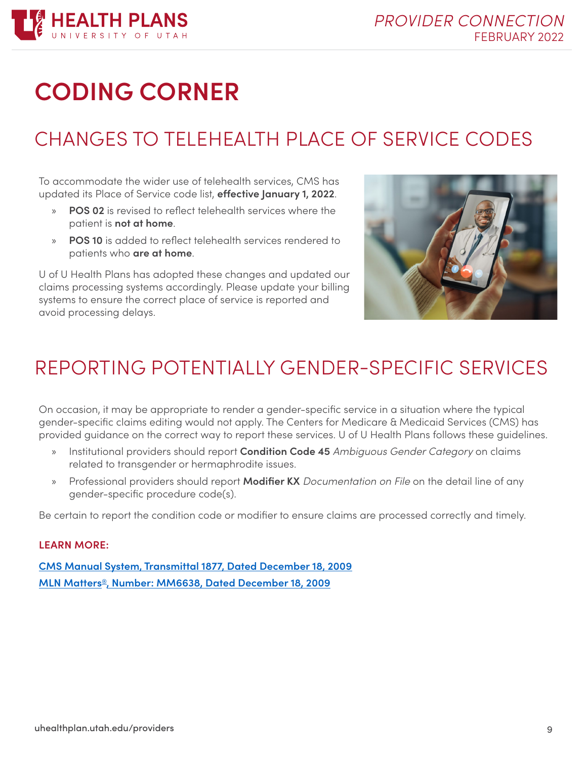

## <span id="page-8-0"></span>**CODING CORNER**

## <span id="page-8-1"></span>CHANGES TO TELEHEALTH PLACE OF SERVICE CODES

To accommodate the wider use of telehealth services, CMS has updated its Place of Service code list, **effective January 1, 2022**.

- **POS 02** is revised to reflect telehealth services where the patient is **not at home**.
- » **POS 10** is added to reflect telehealth services rendered to patients who **are at home**.

U of U Health Plans has adopted these changes and updated our claims processing systems accordingly. Please update your billing systems to ensure the correct place of service is reported and avoid processing delays.



## <span id="page-8-2"></span>REPORTING POTENTIALLY GENDER-SPECIFIC SERVICES

On occasion, it may be appropriate to render a gender-specific service in a situation where the typical gender-specific claims editing would not apply. The Centers for Medicare & Medicaid Services (CMS) has provided guidance on the correct way to report these services. U of U Health Plans follows these guidelines.

- » Institutional providers should report **Condition Code 45** *Ambiguous Gender Category* on claims related to transgender or hermaphrodite issues.
- » Professional providers should report **Modifier KX** *Documentation on File* on the detail line of any gender-specific procedure code(s).

Be certain to report the condition code or modifier to ensure claims are processed correctly and timely.

#### **LEARN MORE:**

**[CMS Manual System, Transmittal 1877, Dated December 18, 2009](https://www.cms.gov/Regulations-and-Guidance/Guidance/Transmittals/downloads/R1877CP.pdf) [MLN Matters®, Number: MM6638, Dated December 18, 2009](https://www.hhs.gov/guidance/sites/default/files/hhs-guidance-documents/MM6638.pdf)**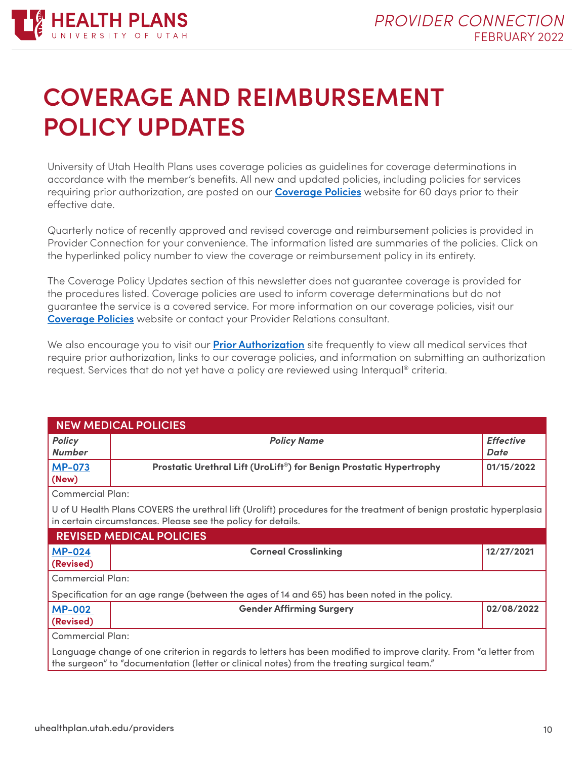

## <span id="page-9-0"></span>**COVERAGE AND REIMBURSEMENT POLICY UPDATES**

University of Utah Health Plans uses coverage policies as guidelines for coverage determinations in accordance with the member's benefits. All new and updated policies, including policies for services requiring prior authorization, are posted on our **[Coverage Policies](https://uhealthplan.utah.edu/medicalpolicy/)** website for 60 days prior to their effective date.

Quarterly notice of recently approved and revised coverage and reimbursement policies is provided in Provider Connection for your convenience. The information listed are summaries of the policies. Click on the hyperlinked policy number to view the coverage or reimbursement policy in its entirety.

The Coverage Policy Updates section of this newsletter does not guarantee coverage is provided for the procedures listed. Coverage policies are used to inform coverage determinations but do not guarantee the service is a covered service. For more information on our coverage policies, visit our **[Coverage Policies](https://uhealthplan.utah.edu/medicalpolicy/)** website or contact your Provider Relations consultant.

We also encourage you to visit our **[Prior Authorization](https://uhealthplan.utah.edu/for-providers/prior-authorization.php)** site frequently to view all medical services that require prior authorization, links to our coverage policies, and information on submitting an authorization request. Services that do not yet have a policy are reviewed using Interqual® criteria.

| <b>NEW MEDICAL POLICIES</b>                                                                                                                                                                                     |                                                                     |                                 |  |  |  |
|-----------------------------------------------------------------------------------------------------------------------------------------------------------------------------------------------------------------|---------------------------------------------------------------------|---------------------------------|--|--|--|
| <b>Policy</b><br><b>Number</b>                                                                                                                                                                                  | <b>Policy Name</b>                                                  | <b>Effective</b><br><b>Date</b> |  |  |  |
| <b>MP-073</b><br>(New)                                                                                                                                                                                          | Prostatic Urethral Lift (UroLift®) for Benign Prostatic Hypertrophy | 01/15/2022                      |  |  |  |
| <b>Commercial Plan:</b>                                                                                                                                                                                         |                                                                     |                                 |  |  |  |
| U of U Health Plans COVERS the urethral lift (Urolift) procedures for the treatment of benign prostatic hyperplasia<br>in certain circumstances. Please see the policy for details.                             |                                                                     |                                 |  |  |  |
| <b>REVISED MEDICAL POLICIES</b>                                                                                                                                                                                 |                                                                     |                                 |  |  |  |
| <b>MP-024</b>                                                                                                                                                                                                   | <b>Corneal Crosslinking</b>                                         | 12/27/2021                      |  |  |  |
| (Revised)                                                                                                                                                                                                       |                                                                     |                                 |  |  |  |
| <b>Commercial Plan:</b>                                                                                                                                                                                         |                                                                     |                                 |  |  |  |
| Specification for an age range (between the ages of 14 and 65) has been noted in the policy.                                                                                                                    |                                                                     |                                 |  |  |  |
| <b>MP-002</b>                                                                                                                                                                                                   | <b>Gender Affirming Surgery</b>                                     | 02/08/2022                      |  |  |  |
| (Revised)                                                                                                                                                                                                       |                                                                     |                                 |  |  |  |
| <b>Commercial Plan:</b>                                                                                                                                                                                         |                                                                     |                                 |  |  |  |
| Language change of one criterion in regards to letters has been modified to improve clarity. From "a letter from<br>the surgeon" to "documentation (letter or clinical notes) from the treating surgical team." |                                                                     |                                 |  |  |  |